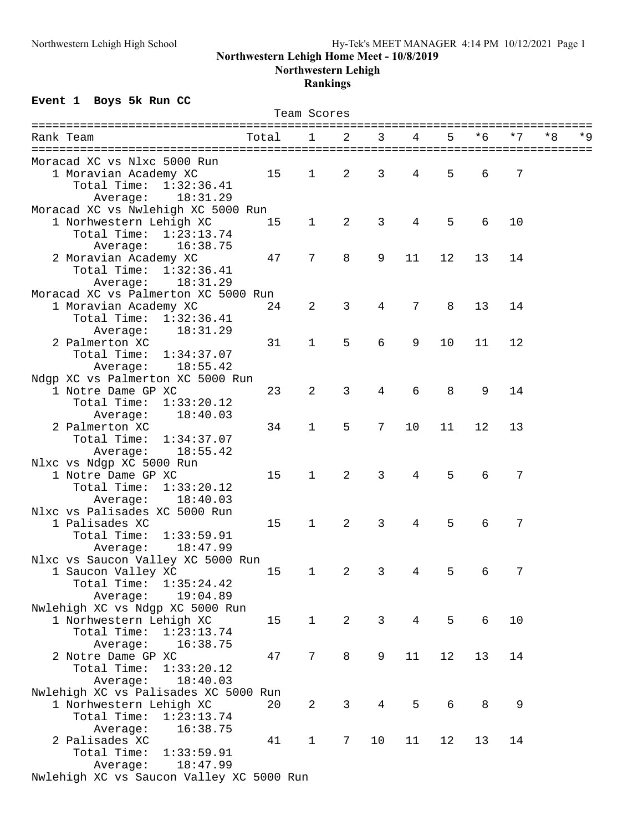#### **Northwestern Lehigh Home Meet - 10/8/2019**

**Northwestern Lehigh**

#### **Rankings**

# **Event 1 Boys 5k Run CC**

|                                                               |       | Team Scores    |                |                |                |    |     |      |            |
|---------------------------------------------------------------|-------|----------------|----------------|----------------|----------------|----|-----|------|------------|
|                                                               |       |                |                |                |                |    |     |      |            |
| Rank Team                                                     | Total | 1              | 2              | 3              | 4              | 5  | * 6 | $*7$ | * Q<br>* 8 |
|                                                               |       |                |                |                |                |    |     |      |            |
| Moracad XC vs Nlxc 5000 Run<br>1 Moravian Academy XC          | 15    | $\mathbf 1$    | $\overline{2}$ | 3              | 4              | 5  | 6   | 7    |            |
| Total Time:<br>1:32:36.41                                     |       |                |                |                |                |    |     |      |            |
| 18:31.29                                                      |       |                |                |                |                |    |     |      |            |
| Average:                                                      |       |                |                |                |                |    |     |      |            |
| Moracad XC vs Nwlehigh XC 5000 Run<br>1 Norhwestern Lehigh XC | 15    | $\mathbf 1$    | $\overline{2}$ | 3              | 4              | 5  | 6   | 10   |            |
| Total Time: 1:23:13.74                                        |       |                |                |                |                |    |     |      |            |
| 16:38.75                                                      |       |                |                |                |                |    |     |      |            |
| Average:<br>2 Moravian Academy XC                             | 47    | 7              | 8              | 9              | 11             | 12 | 13  | 14   |            |
| Total Time:<br>1:32:36.41                                     |       |                |                |                |                |    |     |      |            |
| Average:<br>18:31.29                                          |       |                |                |                |                |    |     |      |            |
| Moracad XC vs Palmerton XC 5000 Run                           |       |                |                |                |                |    |     |      |            |
| 1 Moravian Academy XC                                         | 24    | $\overline{2}$ | 3              | 4              | 7              | 8  | 13  | 14   |            |
| Total Time:                                                   |       |                |                |                |                |    |     |      |            |
| 1:32:36.41<br>18:31.29                                        |       |                |                |                |                |    |     |      |            |
| Average:<br>2 Palmerton XC                                    |       | $\mathbf{1}$   | 5              | 6              | 9              | 10 | 11  | 12   |            |
|                                                               | 31    |                |                |                |                |    |     |      |            |
| Total Time:<br>1:34:37.07<br>18:55.42                         |       |                |                |                |                |    |     |      |            |
| Average:                                                      |       |                |                |                |                |    |     |      |            |
| Ndgp XC vs Palmerton XC 5000 Run                              |       | 2              | $\mathfrak{Z}$ | 4              | 6              | 8  | 9   |      |            |
| 1 Notre Dame GP XC<br>Total Time:<br>1:33:20.12               | 23    |                |                |                |                |    |     | 14   |            |
| 18:40.03                                                      |       |                |                |                |                |    |     |      |            |
| Average:                                                      |       |                |                |                |                |    |     |      |            |
| 2 Palmerton XC<br>Total Time:                                 | 34    | $\mathbf 1$    | 5              | 7              | 10             | 11 | 12  | 13   |            |
| 1:34:37.07                                                    |       |                |                |                |                |    |     |      |            |
| 18:55.42<br>Average:                                          |       |                |                |                |                |    |     |      |            |
| Nlxc vs Ndgp XC 5000 Run                                      |       | $\mathbf{1}$   | 2              | 3              | $\overline{4}$ | 5  |     | 7    |            |
| 1 Notre Dame GP XC                                            | 15    |                |                |                |                |    | 6   |      |            |
| Total Time:<br>1:33:20.12                                     |       |                |                |                |                |    |     |      |            |
| 18:40.03<br>Average:                                          |       |                |                |                |                |    |     |      |            |
| Nlxc vs Palisades XC 5000 Run                                 |       | $\mathbf{1}$   | 2              | 3              | 4              | 5  |     | 7    |            |
| 1 Palisades XC                                                | 15    |                |                |                |                |    | 6   |      |            |
| Total Time:<br>1:33:59.91                                     |       |                |                |                |                |    |     |      |            |
| 18:47.99<br>Average:                                          |       |                |                |                |                |    |     |      |            |
| Nlxc vs Saucon Valley XC 5000 Run                             |       |                |                |                |                |    |     |      |            |
| 1 Saucon Valley XC                                            | 15    | $\mathbf 1$    | 2              | 3              | 4              | 5  | 6   | 7    |            |
| Total Time:<br>1:35:24.42                                     |       |                |                |                |                |    |     |      |            |
| Average:<br>19:04.89                                          |       |                |                |                |                |    |     |      |            |
| Nwlehigh XC vs Ndgp XC 5000 Run                               |       |                |                |                |                |    |     |      |            |
| 1 Norhwestern Lehigh XC                                       | 15    | $\mathbf{1}$   | 2              | $\mathbf{3}$   | $\overline{4}$ | 5  | 6   | 10   |            |
| Total Time:<br>1:23:13.74                                     |       |                |                |                |                |    |     |      |            |
| Average:<br>16:38.75                                          |       |                |                |                |                |    |     |      |            |
| 2 Notre Dame GP XC                                            | 47    | 7              | 8              | 9              | 11             | 12 | 13  | 14   |            |
| Total Time:<br>1:33:20.12                                     |       |                |                |                |                |    |     |      |            |
| 18:40.03<br>Average:                                          |       |                |                |                |                |    |     |      |            |
| Nwlehigh XC vs Palisades XC 5000 Run                          |       |                |                |                |                |    |     |      |            |
| 1 Norhwestern Lehigh XC                                       | 20    | $\overline{a}$ | 3              | $\overline{4}$ | 5              | 6  | 8   | 9    |            |
| Total Time:<br>1:23:13.74                                     |       |                |                |                |                |    |     |      |            |
| 16:38.75<br>Average:                                          |       |                |                |                |                |    |     |      |            |
| 2 Palisades XC                                                | 41    | $\mathbf{1}$   | 7              | 10             | 11             | 12 | 13  | 14   |            |
| Total Time:<br>1:33:59.91                                     |       |                |                |                |                |    |     |      |            |
| 18:47.99<br>Average:                                          |       |                |                |                |                |    |     |      |            |
| Nwlehigh XC vs Saucon Valley XC 5000 Run                      |       |                |                |                |                |    |     |      |            |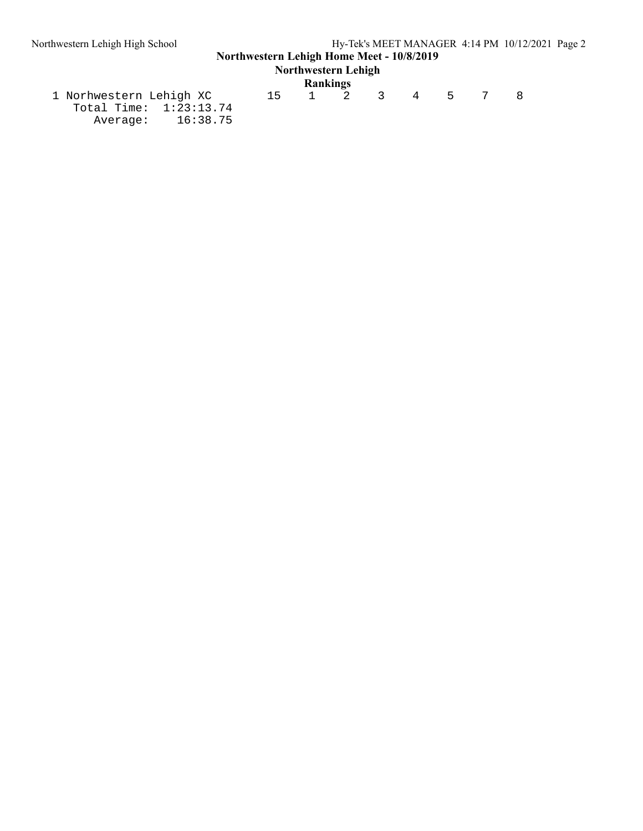# **Northwestern Lehigh Home Meet - 10/8/2019**

# **Northwestern Lehigh**

|                          |    | Rankings |       |  |     |  |
|--------------------------|----|----------|-------|--|-----|--|
| 1 Norhwestern Lehigh XC  | 15 |          | 1 2 3 |  | 4 5 |  |
| Total Time: $1:23:13.74$ |    |          |       |  |     |  |
| Average: 16:38.75        |    |          |       |  |     |  |